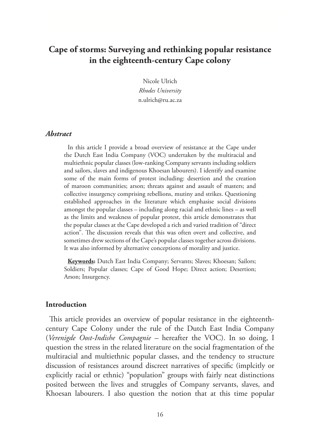# **Cape of storms: Surveying and rethinking popular resistance in the eighteenth-century Cape colony**

Nicole Ulrich *Rhodes University*  n.ulrich@ru.ac.za

# *Abstract*

In this article I provide a broad overview of resistance at the Cape under the Dutch East India Company (VOC) undertaken by the multiracial and multiethnic popular classes (low-ranking Company servants including soldiers and sailors, slaves and indigenous Khoesan labourers). I identify and examine some of the main forms of protest including: desertion and the creation of maroon communities; arson; threats against and assault of masters; and collective insurgency comprising rebellions, mutiny and strikes. Questioning established approaches in the literature which emphasise social divisions amongst the popular classes – including along racial and ethnic lines – as well as the limits and weakness of popular protest, this article demonstrates that the popular classes at the Cape developed a rich and varied tradition of "direct action". The discussion reveals that this was often overt and collective, and sometimes drew sections of the Cape's popular classes together across divisions. It was also informed by alternative conceptions of morality and justice.

**Keywords:** Dutch East India Company; Servants; Slaves; Khoesan; Sailors; Soldiers; Popular classes; Cape of Good Hope; Direct action; Desertion; Arson; Insurgency.

#### **Introduction**

This article provides an overview of popular resistance in the eighteenthcentury Cape Colony under the rule of the Dutch East India Company (*Verenigde Oost-Indishe Compagnie –* hereafter the VOC). In so doing, I question the stress in the related literature on the social fragmentation of the multiracial and multiethnic popular classes, and the tendency to structure discussion of resistances around discreet narratives of specific (implcitly or explicitly racial or ethnic) "population" groups with fairly neat distinctions posited between the lives and struggles of Company servants, slaves, and Khoesan labourers. I also question the notion that at this time popular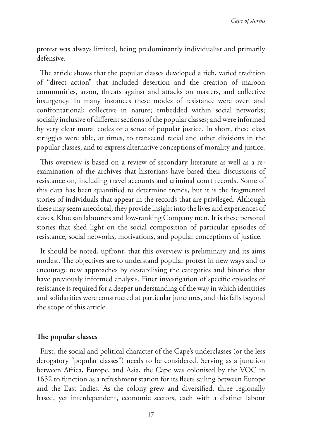protest was always limited, being predominantly individualist and primarily defensive.

The article shows that the popular classes developed a rich, varied tradition of "direct action" that included desertion and the creation of maroon communities, arson, threats against and attacks on masters, and collective insurgency. In many instances these modes of resistance were overt and confrontational; collective in nature; embedded within social networks; socially inclusive of different sections of the popular classes; and were informed by very clear moral codes or a sense of popular justice. In short, these class struggles were able, at times, to transcend racial and other divisions in the popular classes, and to express alternative conceptions of morality and justice.

This overview is based on a review of secondary literature as well as a reexamination of the archives that historians have based their discussions of resistance on, including travel accounts and criminal court records. Some of this data has been quantified to determine trends, but it is the fragmented stories of individuals that appear in the records that are privileged. Although these may seem anecdotal, they provide insight into the lives and experiences of slaves, Khoesan labourers and low-ranking Company men. It is these personal stories that shed light on the social composition of particular episodes of resistance, social networks, motivations, and popular conceptions of justice.

It should be noted, upfront, that this overview is preliminary and its aims modest. The objectives are to understand popular protest in new ways and to encourage new approaches by destabilising the categories and binaries that have previously informed analysis. Finer investigation of specific episodes of resistance is required for a deeper understanding of the way in which identities and solidarities were constructed at particular junctures, and this falls beyond the scope of this article.

# **The popular classes**

First, the social and political character of the Cape's underclasses (or the less derogatory "popular classes") needs to be considered. Serving as a junction between Africa, Europe, and Asia, the Cape was colonised by the VOC in 1652 to function as a refreshment station for its fleets sailing between Europe and the East Indies. As the colony grew and diversified, three regionally based, yet interdependent, economic sectors, each with a distinct labour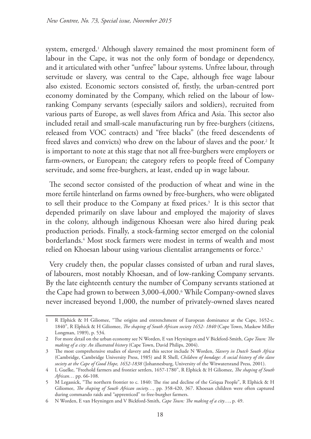system, emerged.1 Although slavery remained the most prominent form of labour in the Cape, it was not the only form of bondage or dependency, and it articulated with other "unfree" labour systems. Unfree labour, through servitude or slavery, was central to the Cape, although free wage labour also existed. Economic sectors consisted of, firstly, the urban-centred port economy dominated by the Company, which relied on the labour of lowranking Company servants (especially sailors and soldiers), recruited from various parts of Europe, as well slaves from Africa and Asia. This sector also included retail and small-scale manufacturing run by free-burghers (citizens, released from VOC contracts) and "free blacks" (the freed descendents of freed slaves and convicts) who drew on the labour of slaves and the poor.<sup>2</sup> It is important to note at this stage that not all free-burghers were employers or farm-owners, or European; the category refers to people freed of Company servitude, and some free-burghers, at least, ended up in wage labour.

The second sector consisted of the production of wheat and wine in the more fertile hinterland on farms owned by free-burghers, who were obligated to sell their produce to the Company at fixed prices.<sup>3</sup> It is this sector that depended primarily on slave labour and employed the majority of slaves in the colony, although indigenous Khoesan were also hired during peak production periods. Finally, a stock-farming sector emerged on the colonial borderlands.4 Most stock farmers were modest in terms of wealth and most relied on Khoesan labour using various clientalist arrangements or force.<sup>5</sup>

Very crudely then, the popular classes consisted of urban and rural slaves, of labourers, most notably Khoesan, and of low-ranking Company servants. By the late eighteenth century the number of Company servants stationed at the Cape had grown to between 3,000-4,000.6 While Company-owned slaves never increased beyond 1,000, the number of privately-owned slaves neared

<sup>1</sup> R Elphick & H Giliomee, "The origins and entrenchment of European dominance at the Cape, 1652-c. 1840", R Elphick & H Giliomee, *The shaping of South African society 1652- 1840* (Cape Town, Maskew Miller Longman, 1989), p. 534.

<sup>2</sup> For more detail on the urban economy see N Worden, E van Heyningen and V Bickford-Smith, *Cape Town: The making of a city: An illustrated history* (Cape Town, David Philips, 2004).

<sup>3</sup> The most comprehensive studies of slavery and this sector include N Worden, *Slavery in Dutch South Africa* (Cambridge, Cambridge University Press, 1985) and R Shell, *Children of bondage: A social history of the slave society at the Cape of Good Hope, 1652-1838* (Johannesburg, University of the Witwatersrand Press, 2001).

<sup>4</sup> L Guelke, "Freehold farmers and frontier settlers, 1657-1780", R Elphick & H Giliomee, *The shaping of South African…* pp. 66-108.

<sup>5</sup> M Legassick, "The northern frontier to c. 1840: The rise and decline of the Griqua People", R Elphick & H Giliomee, *The shaping of South African society…,* pp. 358-420, 367. Khoesan children were often captured during commando raids and "apprenticed" to free-burgher farmers.

<sup>6</sup> N Worden, E van Heyningen and V Bickford-Smith, *Cape Town: The making of a city*…, p. 49.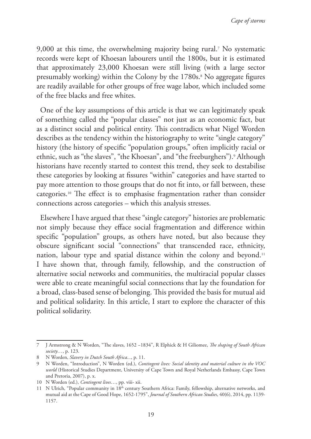9,000 at this time, the overwhelming majority being rural.7 No systematic records were kept of Khoesan labourers until the 1800s, but it is estimated that approximately 23,000 Khoesan were still living (with a large sector presumably working) within the Colony by the 1780s.<sup>8</sup> No aggregate figures are readily available for other groups of free wage labor, which included some of the free blacks and free whites.

One of the key assumptions of this article is that we can legitimately speak of something called the "popular classes" not just as an economic fact, but as a distinct social and political entity. This contradicts what Nigel Worden describes as the tendency within the historiography to write "single category" history (the history of specific "population groups," often implicitly racial or ethnic, such as "the slaves", "the Khoesan", and "the freeburghers").<sup>9</sup> Although historians have recently started to contest this trend, they seek to destabilise these categories by looking at fissures "within" categories and have started to pay more attention to those groups that do not fit into, or fall between, these categories.10 The effect is to emphasise fragmentation rather than consider connections across categories – which this analysis stresses.

Elsewhere I have argued that these "single category" histories are problematic not simply because they efface social fragmentation and difference within specific "population" groups, as others have noted, but also because they obscure significant social "connections" that transcended race, ethnicity, nation, labour type and spatial distance within the colony and beyond.11 I have shown that, through family, fellowship, and the construction of alternative social networks and communities, the multiracial popular classes were able to create meaningful social connections that lay the foundation for a broad, class-based sense of belonging. This provided the basis for mutual aid and political solidarity. In this article, I start to explore the character of this political solidarity.

<sup>7</sup> J Armstrong & N Worden, "The slaves, 1652 −1834", R Elphick & H Giliomee, *The shaping of South African society…*, p. 123.

<sup>8</sup> N Worden, *Slavery in Dutch South Africa...*, p. 11.

<sup>9</sup> N Worden, "Introduction", N Worden (ed.), *Contingent lives: Social identity and material culture in the VOC world* (Historical Studies Department, University of Cape Town and Royal Netherlands Embassy, Cape Town and Pretoria, 2007), p. x.

<sup>10</sup> N Worden (ed.), *Contingent lives*…, pp. viii- xii.

<sup>11</sup> N Ulrich, "Popular community in 18th century Southern Africa: Family, fellowship, alternative networks, and mutual aid at the Cape of Good Hope, 1652-1795", *Journal of Southern African Studies*, 40(6), 2014, pp. 1139- 1157.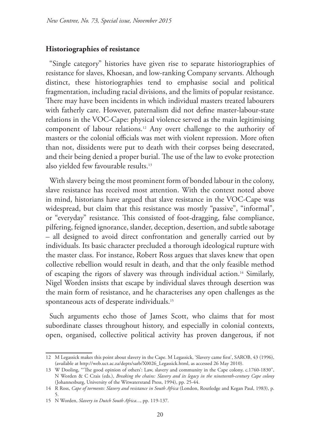## **Historiographies of resistance**

"Single category" histories have given rise to separate historiographies of resistance for slaves, Khoesan, and low-ranking Company servants. Although distinct, these historiographies tend to emphasise social and political fragmentation, including racial divisions, and the limits of popular resistance. There may have been incidents in which individual masters treated labourers with fatherly care. However, paternalism did not define master-labour-state relations in the VOC-Cape: physical violence served as the main legitimising component of labour relations.12 Any overt challenge to the authority of masters or the colonial officials was met with violent repression. More often than not, dissidents were put to death with their corpses being desecrated, and their being denied a proper burial. The use of the law to evoke protection also yielded few favourable results.13

With slavery being the most prominent form of bonded labour in the colony, slave resistance has received most attention. With the context noted above in mind, historians have argued that slave resistance in the VOC-Cape was widespread, but claim that this resistance was mostly "passive", "informal", or "everyday" resistance. This consisted of foot-dragging, false compliance, pilfering, feigned ignorance, slander, deception, desertion, and subtle sabotage – all designed to avoid direct confrontation and generally carried out by individuals. Its basic character precluded a thorough ideological rupture with the master class. For instance, Robert Ross argues that slaves knew that open collective rebellion would result in death, and that the only feasible method of escaping the rigors of slavery was through individual action.14 Similarly, Nigel Worden insists that escape by individual slaves through desertion was the main form of resistance, and he characterises any open challenges as the spontaneous acts of desperate individuals.15

Such arguments echo those of James Scott, who claims that for most subordinate classes throughout history, and especially in colonial contexts, open, organised, collective political activity has proven dangerous, if not

<sup>12</sup> M Legassick makes this point about slavery in the Cape. M Legassick, 'Slavery came first', SAROB, 43 (1996), (available at http://web.uct.ac.za/depts/sarb/X0026\_Legassick.html, as accessed 26 May 2010).

<sup>13</sup> W Dooling, "'The good opinion of others': Law, slavery and community in the Cape colony, c.1760-1830", N Worden & C Crais (eds.), *Breaking the chains: Slavery and its legacy in the nineteenth-century Cape colony* (Johannesburg, University of the Witwatersrand Press, 1994), pp. 25-44.

<sup>14</sup> R Ross, *Cape of torments: Slavery and resistance in South Africa* (London, Routledge and Kegan Paul, 1983), p. 5.

<sup>15</sup> N Worden, *Slavery in Dutch South Africa...*, pp. 119-137.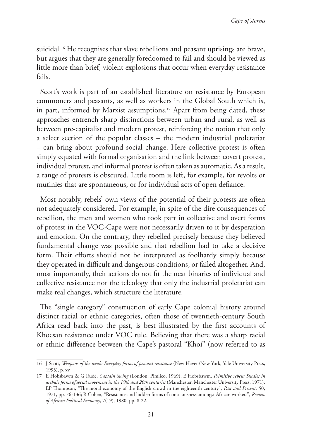suicidal.<sup>16</sup> He recognises that slave rebellions and peasant uprisings are brave, but argues that they are generally foredoomed to fail and should be viewed as little more than brief, violent explosions that occur when everyday resistance fails.

Scott's work is part of an established literature on resistance by European commoners and peasants, as well as workers in the Global South which is, in part, informed by Marxist assumptions.<sup>17</sup> Apart from being dated, these approaches entrench sharp distinctions between urban and rural, as well as between pre-capitalist and modern protest, reinforcing the notion that only a select section of the popular classes – the modern industrial proletariat – can bring about profound social change. Here collective protest is often simply equated with formal organisation and the link between covert protest, individual protest, and informal protest is often taken as automatic. As a result, a range of protests is obscured. Little room is left, for example, for revolts or mutinies that are spontaneous, or for individual acts of open defiance.

Most notably, rebels' own views of the potential of their protests are often not adequately considered. For example, in spite of the dire consequences of rebellion, the men and women who took part in collective and overt forms of protest in the VOC-Cape were not necessarily driven to it by desperation and emotion. On the contrary, they rebelled precisely because they believed fundamental change was possible and that rebellion had to take a decisive form. Their efforts should not be interpreted as foolhardy simply because they operated in difficult and dangerous conditions, or failed altogether. And, most importantly, their actions do not fit the neat binaries of individual and collective resistance nor the teleology that only the industrial proletariat can make real changes, which structure the literature.

The "single category" construction of early Cape colonial history around distinct racial or ethnic categories, often those of twentieth-century South Africa read back into the past, is best illustrated by the first accounts of Khoesan resistance under VOC rule. Believing that there was a sharp racial or ethnic difference between the Cape's pastoral "Khoi" (now referred to as

<sup>16</sup> J Scott, *Weapons of the weak: Everyday forms of peasant resistance* (New Haven/New York, Yale University Press, 1995), p. xv.

<sup>17</sup> E Hobsbawm & G Rudé, *Captain Swing* (London, Pimlico, 1969), E Hobsbawm, *Primitive rebels: Studies in archaic forms of social movement in the 19th and 20th centuries* (Manchester, Manchester University Press, 1971); EP Thompson, "The moral economy of the English crowd in the eighteenth century", *Past and Present*, 50, 1971, pp. 76-136; R Cohen, "Resistance and hidden forms of consciousness amongst African workers", *Review of African Political Economy*, 7(19), 1980, pp. 8-22.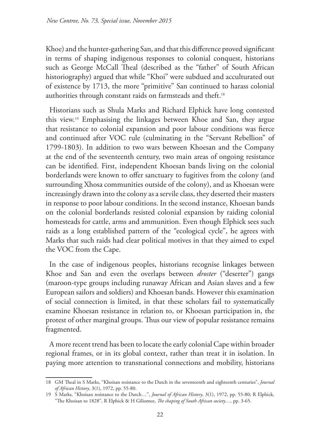Khoe) and the hunter-gathering San, and that this difference proved significant in terms of shaping indigenous responses to colonial conquest, historians such as George McCall Theal (described as the "father" of South African historiography) argued that while "Khoi" were subdued and acculturated out of existence by 1713, the more "primitive" San continued to harass colonial authorities through constant raids on farmsteads and theft.18

Historians such as Shula Marks and Richard Elphick have long contested this view.19 Emphasising the linkages between Khoe and San, they argue that resistance to colonial expansion and poor labour conditions was fierce and continued after VOC rule (culminating in the "Servant Rebellion" of 1799-1803). In addition to two wars between Khoesan and the Company at the end of the seventeenth century, two main areas of ongoing resistance can be identified. First, independent Khoesan bands living on the colonial borderlands were known to offer sanctuary to fugitives from the colony (and surrounding Xhosa communities outside of the colony), and as Khoesan were increasingly drawn into the colony as a servile class, they deserted their masters in response to poor labour conditions. In the second instance, Khoesan bands on the colonial borderlands resisted colonial expansion by raiding colonial homesteads for cattle, arms and ammunition. Even though Elphick sees such raids as a long established pattern of the "ecological cycle", he agrees with Marks that such raids had clear political motives in that they aimed to expel the VOC from the Cape.

In the case of indigenous peoples, historians recognise linkages between Khoe and San and even the overlaps between *droster* ("deserter") gangs (maroon-type groups including runaway African and Asian slaves and a few European sailors and soldiers) and Khoesan bands. However this examination of social connection is limited, in that these scholars fail to systematically examine Khoesan resistance in relation to, or Khoesan participation in, the protest of other marginal groups. Thus our view of popular resistance remains fragmented.

A more recent trend has been to locate the early colonial Cape within broader regional frames, or in its global context, rather than treat it in isolation. In paying more attention to transnational connections and mobility, historians

<sup>18</sup> GM Theal in S Marks, "Khoisan resistance to the Dutch in the seventeenth and eighteenth centuries", *Journal of African History*, 3(1), 1972, pp. 55-80.

<sup>19</sup> S Marks, "Khoisan resistance to the Dutch…", *Journal of African History*, 3(1), 1972, pp. 55-80; R Elphick, "The Khoisan to 1828", R Elphick & H Giliomee, *The shaping of South African society…,* pp. 3-65.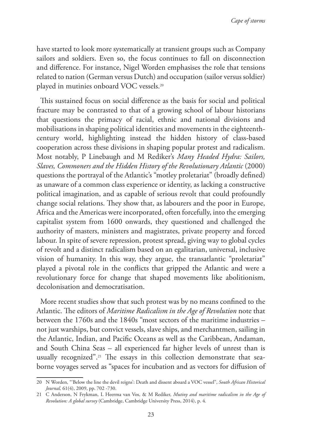have started to look more systematically at transient groups such as Company sailors and soldiers. Even so, the focus continues to fall on disconnection and difference. For instance, Nigel Worden emphasises the role that tensions related to nation (German versus Dutch) and occupation (sailor versus soldier) played in mutinies onboard VOC vessels.20

This sustained focus on social difference as the basis for social and political fracture may be contrasted to that of a growing school of labour historians that questions the primacy of racial, ethnic and national divisions and mobilisations in shaping political identities and movements in the eighteenthcentury world, highlighting instead the hidden history of class-based cooperation across these divisions in shaping popular protest and radicalism. Most notably, P Linebaugh and M Rediker's *Many Headed Hydra: Sailors, Slaves, Commoners and the Hidden History of the Revolutionary Atlantic* (2000) questions the portrayal of the Atlantic's "motley proletariat" (broadly defined) as unaware of a common class experience or identity, as lacking a constructive political imagination, and as capable of serious revolt that could profoundly change social relations. They show that, as labourers and the poor in Europe, Africa and the Americas were incorporated, often forcefully, into the emerging capitalist system from 1600 onwards, they questioned and challenged the authority of masters, ministers and magistrates, private property and forced labour. In spite of severe repression, protest spread, giving way to global cycles of revolt and a distinct radicalism based on an egalitarian, universal, inclusive vision of humanity. In this way, they argue, the transatlantic "proletariat" played a pivotal role in the conflicts that gripped the Atlantic and were a revolutionary force for change that shaped movements like abolitionism, decolonisation and democratisation.

More recent studies show that such protest was by no means confined to the Atlantic. The editors of *Maritime Radicalism in the Age of Revolution* note that between the 1760s and the 1840s "most sectors of the maritime industries – not just warships, but convict vessels, slave ships, and merchantmen, sailing in the Atlantic, Indian, and Pacific Oceans as well as the Caribbean, Andaman, and South China Seas – all experienced far higher levels of unrest than is usually recognized".<sup>21</sup> The essays in this collection demonstrate that seaborne voyages served as "spaces for incubation and as vectors for diffusion of

<sup>20</sup> N Worden, "'Below the line the devil reigns': Death and dissent aboard a VOC vessel", *South African Historical Journal,* 61(4), 2009, pp. 702 -730.

<sup>21</sup> C Anderson, N Frykman, L Heerma van Vos, & M Rediker, *Mutiny and maritime radicalism in the Age of Revolution: A global survey* (Cambridge, Cambridge University Press, 2014), p. 4.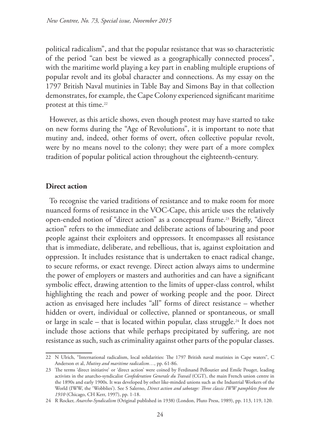political radicalism", and that the popular resistance that was so characteristic of the period "can best be viewed as a geographically connected process", with the maritime world playing a key part in enabling multiple eruptions of popular revolt and its global character and connections. As my essay on the 1797 British Naval mutinies in Table Bay and Simons Bay in that collection demonstrates, for example, the Cape Colony experienced significant maritime protest at this time.<sup>22</sup>

However, as this article shows, even though protest may have started to take on new forms during the "Age of Revolutions", it is important to note that mutiny and, indeed, other forms of overt, often collective popular revolt, were by no means novel to the colony; they were part of a more complex tradition of popular political action throughout the eighteenth-century.

# **Direct action**

To recognise the varied traditions of resistance and to make room for more nuanced forms of resistance in the VOC-Cape, this article uses the relatively open-ended notion of "direct action" as a conceptual frame.<sup>23</sup> Briefly, "direct action" refers to the immediate and deliberate actions of labouring and poor people against their exploiters and oppressors. It encompasses all resistance that is immediate, deliberate, and rebellious, that is, against exploitation and oppression. It includes resistance that is undertaken to enact radical change, to secure reforms, or exact revenge. Direct action always aims to undermine the power of employers or masters and authorities and can have a significant symbolic effect, drawing attention to the limits of upper-class control, whilst highlighting the reach and power of working people and the poor. Direct action as envisaged here includes "all" forms of direct resistance – whether hidden or overt, individual or collective, planned or spontaneous, or small or large in scale – that is located within popular, class struggle.24 It does not include those actions that while perhaps precipitated by suffering, are not resistance as such, such as criminality against other parts of the popular classes.

<sup>22</sup> N Ulrich, "International radicalism, local solidarities: The 1797 British naval mutinies in Cape waters", C Anderson et al, *Mutiny and maritime radicalism…*, pp. 61-86.

<sup>23</sup> The terms 'direct initiative' or 'direct action' were coined by Ferdinand Pelloutier and Emile Pouget, leading activists in the anarcho-syndicalist *Confederation Generale du Travail* (CGT), the main French union centre in the 1890s and early 1900s. It was developed by other like-minded unions such as the Industrial Workers of the World (IWW, the 'Wobblies'). See S Salerno, *Direct action and sabotage: Three classic IWW pamphlets from the 1910* (Chicago, CH Kerr, 1997), pp. 1-18.

<sup>24</sup> R Rocker, *Anarcho-Syndicalism* (Original published in 1938) (London, Pluto Press, 1989), pp. 113, 119, 120.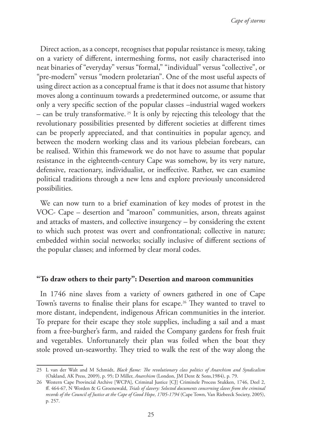Direct action, as a concept, recognises that popular resistance is messy, taking on a variety of different, intermeshing forms, not easily characterised into neat binaries of "everyday" versus "formal," "individual" versus "collective", or "pre-modern" versus "modern proletarian". One of the most useful aspects of using direct action as a conceptual frame is that it does not assume that history moves along a continuum towards a predetermined outcome, or assume that only a very specific section of the popular classes –industrial waged workers – can be truly transformative.<sup>25</sup> It is only by rejecting this teleology that the revolutionary possibilities presented by different societies at different times can be properly appreciated, and that continuities in popular agency, and between the modern working class and its various plebeian forebears, can be realised. Within this framework we do not have to assume that popular resistance in the eighteenth-century Cape was somehow, by its very nature, defensive, reactionary, individualist, or ineffective. Rather, we can examine political traditions through a new lens and explore previously unconsidered possibilities.

We can now turn to a brief examination of key modes of protest in the VOC- Cape – desertion and "maroon" communities, arson, threats against and attacks of masters, and collective insurgency – by considering the extent to which such protest was overt and confrontational; collective in nature; embedded within social networks; socially inclusive of different sections of the popular classes; and informed by clear moral codes.

# **"To draw others to their party": Desertion and maroon communities**

In 1746 nine slaves from a variety of owners gathered in one of Cape Town's taverns to finalise their plans for escape.26 They wanted to travel to more distant, independent, indigenous African communities in the interior. To prepare for their escape they stole supplies, including a sail and a mast from a free-burgher's farm, and raided the Company gardens for fresh fruit and vegetables. Unfortunately their plan was foiled when the boat they stole proved un-seaworthy. They tried to walk the rest of the way along the

<sup>25</sup> L van der Walt and M Schmidt, *Black flame: The revolutionary class politics of Anarchism and Syndicalism* (Oakland, AK Press, 2009), p. 95; D Miller, *Anarchism* (London, JM Dent & Sons,1984), p. 79.

<sup>26</sup> Western Cape Provincial Archive [WCPA], Criminal Justice [CJ] Criminele Process Stukken, 1746, Deel 2, ff. 464-67, N Worden & G Groenewald, *Trials of slavery: Selected documents concerning slaves from the criminal records of the Council of Justice at the Cape of Good Hope*, *1705-1794* (Cape Town, Van Riebeeck Society, 2005), p. 257.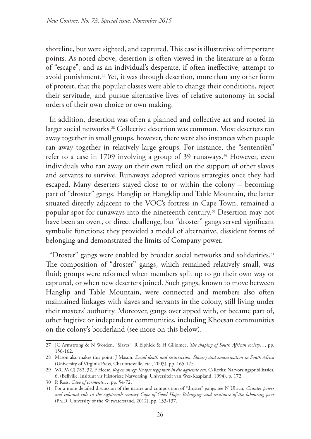shoreline, but were sighted, and captured. This case is illustrative of important points. As noted above, desertion is often viewed in the literature as a form of "escape", and as an individual's desperate, if often ineffective, attempt to avoid punishment.<sup>27</sup> Yet, it was through desertion, more than any other form of protest, that the popular classes were able to change their conditions, reject their servitude, and pursue alternative lives of relative autonomy in social orders of their own choice or own making.

In addition, desertion was often a planned and collective act and rooted in larger social networks.<sup>28</sup> Collective desertion was common. Most deserters ran away together in small groups, however, there were also instances when people ran away together in relatively large groups. For instance, the "sententiën" refer to a case in 1709 involving a group of 39 runaways.<sup>29</sup> However, even individuals who ran away on their own relied on the support of other slaves and servants to survive. Runaways adopted various strategies once they had escaped. Many deserters stayed close to or within the colony – becoming part of "droster" gangs. Hanglip or Hangklip and Table Mountain, the latter situated directly adjacent to the VOC's fortress in Cape Town, remained a popular spot for runaways into the nineteenth century.30 Desertion may not have been an overt, or direct challenge, but "droster" gangs served significant symbolic functions; they provided a model of alternative, dissident forms of belonging and demonstrated the limits of Company power.

"Droster" gangs were enabled by broader social networks and solidarities.31 The composition of "droster" gangs, which remained relatively small, was fluid; groups were reformed when members split up to go their own way or captured, or when new deserters joined. Such gangs, known to move between Hanglip and Table Mountain, were connected and members also often maintained linkages with slaves and servants in the colony, still living under their masters' authority. Moreover, gangs overlapped with, or became part of, other fugitive or independent communities, including Khoesan communities on the colony's borderland (see more on this below).

<sup>27</sup> JC Armstrong & N Worden, "Slaves", R Elphick & H Giliomee, *The shaping of South African society…,* pp. 156-162.

<sup>28</sup> Mason also makes this point. J Mason, *Social death and resurrection: Slavery and emancipation in South Africa*  (University of Virginia Press, Charlottesville, etc., 2003), pp. 165-175.

<sup>29</sup> WCPA CJ 782, 32, F Heese, *Reg en onreg: Kaapse regspraak in die agtiende eeu*, C-Reeks: Narvorsingspublikasies, 6, (Bellville, Insituut vir Historiese Narvorsing, Universiteit van Wes-Kaapland, 1994), p. 172.

<sup>30</sup> R Ross, *Cape of torments*…, pp. 54-72.

<sup>31</sup> For a more detailed discussion of the nature and composition of "droster" gangs see N Ulrich, *Counter power and colonial rule in the eighteenth century Cape of Good Hope: Belongings and resistance of the labouring poor* (Ph.D, University of the Witwatersrand, 2012), pp. 133-137.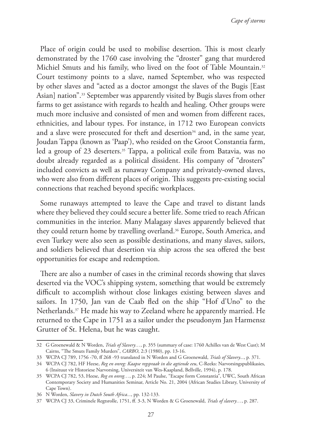*Cape of storms*

Place of origin could be used to mobilise desertion. This is most clearly demonstrated by the 1760 case involving the "droster" gang that murdered Michiel Smuts and his family, who lived on the foot of Table Mountain.<sup>32</sup> Court testimony points to a slave, named September, who was respected by other slaves and "acted as a doctor amongst the slaves of the Bugis [East Asian] nation".33 September was apparently visited by Bugis slaves from other farms to get assistance with regards to health and healing. Other groups were much more inclusive and consisted of men and women from different races, ethnicities, and labour types. For instance, in 1712 two European convicts and a slave were prosecuted for theft and desertion<sup>34</sup> and, in the same year, Joudan Tappa (known as 'Paap'), who resided on the Groot Constantia farm, led a group of 23 deserters.<sup>35</sup> Tappa, a political exile from Batavia, was no doubt already regarded as a political dissident. His company of "drosters" included convicts as well as runaway Company and privately-owned slaves, who were also from different places of origin. This suggests pre-existing social connections that reached beyond specific workplaces.

Some runaways attempted to leave the Cape and travel to distant lands where they believed they could secure a better life. Some tried to reach African communities in the interior. Many Malagasy slaves apparently believed that they could return home by travelling overland.<sup>36</sup> Europe, South America, and even Turkey were also seen as possible destinations, and many slaves, sailors, and soldiers believed that desertion via ship across the sea offered the best opportunities for escape and redemption.

There are also a number of cases in the criminal records showing that slaves deserted via the VOC's shipping system, something that would be extremely difficult to accomplish without close linkages existing between slaves and sailors. In 1750, Jan van de Caab fled on the ship "Hof d'Uno" to the Netherlands.37 He made his way to Zeeland where he apparently married. He returned to the Cape in 1751 as a sailor under the pseudonym Jan Harmensz Grutter of St. Helena, but he was caught.

<sup>32</sup> G Groenewald & N Worden, *Trials of Slavery…*, p. 355 (summary of case: 1760 Achilles van de West Cust); M Cairns, "The Smuts Family Murders", *CARBO*, 2:3 (1980), pp. 13-16.

<sup>33</sup> WCPA CJ 789, 1756 -70, ff 268 -93 translated in N Worden and G Groenewald, *Trials of Slavery...*, p. 371.

<sup>34</sup> WCPA CJ 782, HF Heese, *Reg en onreg: Kaapse regspraak in die agtiende eeu*, C-Reeks: Narvorsingspublikasies, 6 (Insituut vir Historiese Narvorsing, Universiteit van Wes-Kaapland, Bellville, 1994), p. 178.

<sup>35</sup> WCPA CJ 782, 53, Heese, *Reg en onreg…*, p. 224; M Paulse, "Escape form Constantia", UWC, South African Contemporary Society and Humanities Seminar, Article No. 21, 2004 (African Studies Library, University of Cape Town).

<sup>36</sup> N Worden, *Slavery in Dutch South Africa...*, pp. 132-133.

<sup>37</sup> WCPA CJ 33, Criminele Regtsrolle, 1751, ff. 3-3, N Worden & G Groenewald, *Trials of slavery…*, p. 287.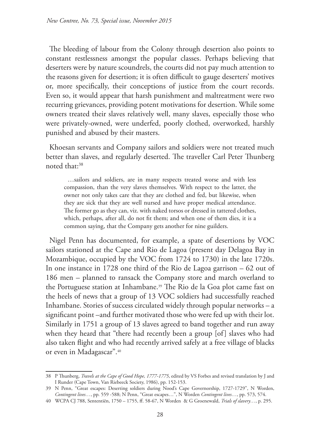The bleeding of labour from the Colony through desertion also points to constant restlessness amongst the popular classes. Perhaps believing that deserters were by nature scoundrels, the courts did not pay much attention to the reasons given for desertion; it is often difficult to gauge deserters' motives or, more specifically, their conceptions of justice from the court records. Even so, it would appear that harsh punishment and maltreatment were two recurring grievances, providing potent motivations for desertion. While some owners treated their slaves relatively well, many slaves, especially those who were privately-owned, were underfed, poorly clothed, overworked, harshly punished and abused by their masters.

Khoesan servants and Company sailors and soldiers were not treated much better than slaves, and regularly deserted. The traveller Carl Peter Thunberg noted that:38

…sailors and soldiers, are in many respects treated worse and with less compassion, than the very slaves themselves. With respect to the latter, the owner not only takes care that they are clothed and fed, but likewise, when they are sick that they are well nursed and have proper medical attendance. The former go as they can, viz. with naked torsos or dressed in tattered clothes, which, perhaps, after all, do not fit them; and when one of them dies, it is a common saying, that the Company gets another for nine guilders.

Nigel Penn has documented, for example, a spate of desertions by VOC sailors stationed at the Cape and Rio de Lagoa (present day Delagoa Bay in Mozambique, occupied by the VOC from 1724 to 1730) in the late 1720s. In one instance in 1728 one third of the Rio de Lagoa garrison – 62 out of 186 men – planned to ransack the Company store and march overland to the Portuguese station at Inhambane.39 The Rio de la Goa plot came fast on the heels of news that a group of 13 VOC soldiers had successfully reached Inhambane. Stories of success circulated widely through popular networks – a significant point –and further motivated those who were fed up with their lot. Similarly in 1751 a group of 13 slaves agreed to band together and run away when they heard that "there had recently been a group [of] slaves who had also taken flight and who had recently arrived safely at a free village of blacks or even in Madagascar".40

<sup>38</sup> P Thunberg, *Travels at the Cape of Good Hope, 1777-1775*, edited by VS Forbes and revised translation by J and I Runder (Cape Town, Van Riebeeck Society, 1986), pp. 152-153.

<sup>39</sup> N Penn, "Great escapes: Deserting soldiers during Nood's Cape Governorship, 1727-1729", N Worden, *Contingent lives…*, pp. 559 -588; N Penn, "Great escapes…", N Worden *Contingent lives…*, pp. 573, 574.

<sup>40</sup> WCPA CJ 788, Sententiën, 1750 – 1755, ff. 58-67, N Worden & G Groenewald, *Trials of slavery…*, p. 295.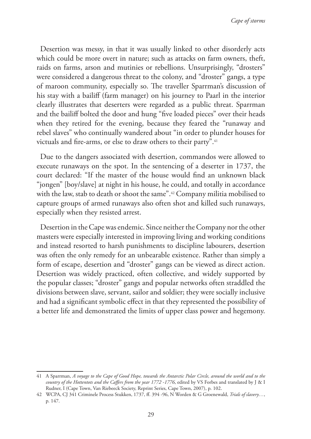Desertion was messy, in that it was usually linked to other disorderly acts which could be more overt in nature; such as attacks on farm owners, theft, raids on farms, arson and mutinies or rebellions. Unsurprisingly, "drosters" were considered a dangerous threat to the colony, and "droster" gangs, a type of maroon community, especially so. The traveller Sparrman's discussion of his stay with a bailiff (farm manager) on his journey to Paarl in the interior clearly illustrates that deserters were regarded as a public threat. Sparrman and the bailiff bolted the door and hung "five loaded pieces" over their heads when they retired for the evening, because they feared the "runaway and rebel slaves" who continually wandered about "in order to plunder houses for victuals and fire-arms, or else to draw others to their party".<sup>41</sup>

Due to the dangers associated with desertion, commandos were allowed to execute runaways on the spot. In the sentencing of a deserter in 1737, the court declared: "If the master of the house would find an unknown black "jongen" [boy/slave] at night in his house, he could, and totally in accordance with the law, stab to death or shoot the same".42 Company militia mobilised to capture groups of armed runaways also often shot and killed such runaways, especially when they resisted arrest.

Desertion in the Cape was endemic. Since neither the Company nor the other masters were especially interested in improving living and working conditions and instead resorted to harsh punishments to discipline labourers, desertion was often the only remedy for an unbearable existence. Rather than simply a form of escape, desertion and "droster" gangs can be viewed as direct action. Desertion was widely practiced, often collective, and widely supported by the popular classes; "droster" gangs and popular networks often straddled the divisions between slave, servant, sailor and soldier; they were socially inclusive and had a significant symbolic effect in that they represented the possibility of a better life and demonstrated the limits of upper class power and hegemony.

<sup>41</sup> A Sparrman, *A voyage to the Cape of Good Hope, towards the Antarctic Polar Circle, around the world and to the country of the Hottentots and the Caffers from the year 1772 -1776*, edited by VS Forbes and translated by J & I Rudner, I (Cape Town, Van Riebeeck Society, Reprint Series, Cape Town, 2007), p. 102.

<sup>42</sup> WCPA, CJ 341 Criminele Process Stukken, 1737, ff. 394 -96, N Worden & G Groenewald, *Trials of slavery…*, p. 147.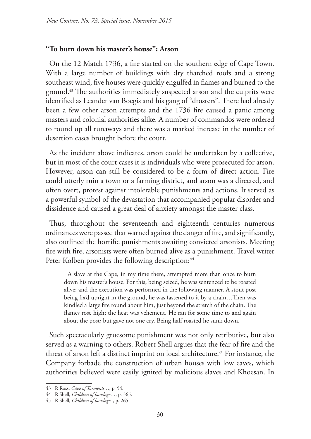## **"To burn down his master's house": Arson**

On the 12 Match 1736, a fire started on the southern edge of Cape Town. With a large number of buildings with dry thatched roofs and a strong southeast wind, five houses were quickly engulfed in flames and burned to the ground.43 The authorities immediately suspected arson and the culprits were identified as Leander van Boegis and his gang of "drosters". There had already been a few other arson attempts and the 1736 fire caused a panic among masters and colonial authorities alike. A number of commandos were ordered to round up all runaways and there was a marked increase in the number of desertion cases brought before the court.

As the incident above indicates, arson could be undertaken by a collective, but in most of the court cases it is individuals who were prosecuted for arson. However, arson can still be considered to be a form of direct action. Fire could utterly ruin a town or a farming district, and arson was a directed, and often overt, protest against intolerable punishments and actions. It served as a powerful symbol of the devastation that accompanied popular disorder and dissidence and caused a great deal of anxiety amongst the master class.

Thus, throughout the seventeenth and eighteenth centuries numerous ordinances were passed that warned against the danger of fire, and significantly, also outlined the horrific punishments awaiting convicted arsonists. Meeting fire with fire, arsonists were often burned alive as a punishment. Travel writer Peter Kolben provides the following description:<sup>44</sup>

A slave at the Cape, in my time there, attempted more than once to burn down his master's house. For this, being seized, he was sentenced to be roasted alive: and the execution was performed in the following manner. A stout post being fix'd upright in the ground, he was fastened to it by a chain…Then was kindled a large fire round about him, just beyond the stretch of the chain. The flames rose high; the heat was vehement. He ran for some time to and again about the post; but gave not one cry. Being half roasted he sunk down.

Such spectacularly gruesome punishment was not only retributive, but also served as a warning to others. Robert Shell argues that the fear of fire and the threat of arson left a distinct imprint on local architecture.45 For instance, the Company forbade the construction of urban houses with low eaves, which authorities believed were easily ignited by malicious slaves and Khoesan. In

<sup>43</sup> R Ross, *Cape of Torments*…, p. 54.

<sup>44</sup> R Shell, *Children of bondage*…, p. 365.

<sup>45</sup> R Shell, *Children of bondage..*, p. 265.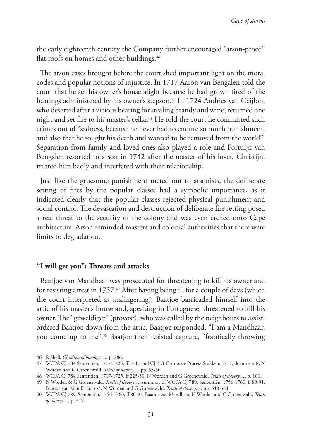the early eighteenth century the Company further encouraged "arson-proof" flat roofs on homes and other buildings.<sup>46</sup>

The arson cases brought before the court shed important light on the moral codes and popular notions of injustice. In 1717 Aaron van Bengalen told the court that he set his owner's house alight because he had grown tired of the beatings administered by his owner's stepson.<sup>47</sup> In 1724 Andries van Ceijlon, who deserted after a vicious beating for stealing brandy and wine, returned one night and set fire to his master's cellar.<sup>48</sup> He told the court he committed such crimes out of "sadness, because he never had to endure so much punishment, and also that he sought his death and wanted to be removed from the world". Separation from family and loved ones also played a role and Fortuijn van Bengalen resorted to arson in 1742 after the master of his lover, Christijn, treated him badly and interfered with their relationship.

Just like the gruesome punishment meted out to arsonists, the deliberate setting of fires by the popular classes had a symbolic importance, as it indicated clearly that the popular classes rejected physical punishment and social control. The devastation and destruction of deliberate fire setting posed a real threat to the security of the colony and was even etched onto Cape architecture. Arson reminded masters and colonial authorities that there were limits to degradation.

## **"I will get you": Threats and attacks**

Baatjoe van Mandhaar was prosecuted for threatening to kill his owner and for resisting arrest in 1757.49 After having being ill for a couple of days (which the court interpreted as malingering), Baatjoe barricaded himself into the attic of his master's house and, speaking in Portuguese, threatened to kill his owner. The "geweldiger" (provost), who was called by the neighbours to assist, ordered Baatjoe down from the attic. Baatjoe responded, "I am a Mandhaar, you come up to me".50 Baatjoe then resisted capture, "frantically throwing

<sup>46</sup> R Shell, *Children of bondage*…, p. 286.

<sup>47</sup> WCPA CJ 784 Sententiën, 1717-1725, ff. 7-11 and CJ 321 Criminele Process Stukken, 1717, document 8, N Worden and G Groenewald, *Trials of slavery…*, pp. 53-56.

<sup>48</sup> WCPA CJ 784 Sententiën, 1717-1725, ff 225-30, N Worden and G Groenewald, *Trials of slavery…*, p. 100.

<sup>49</sup> N Worden & G Groenewald, *Trails of slavery…*, summary of WCPA CJ 789, Sententiën, 1756-1760, ff 80-91, Baatjoe van Mandhaar, 337, N Worden and G Groenewald, *Trials of slavery…*, pp. 340-344.

<sup>50</sup> WCPA CJ 789, Sententien, 1756-1760, ff 80-91, Baatjoe van Mandhaar, N Worden and G Groenewald, *Trials of slavery…*, p. 342.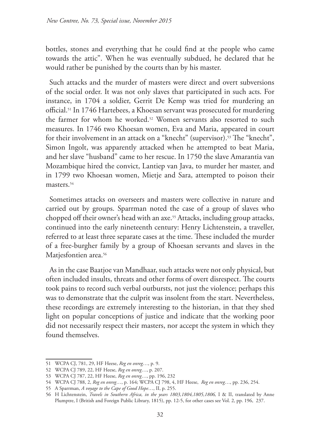bottles, stones and everything that he could find at the people who came towards the attic". When he was eventually subdued, he declared that he would rather be punished by the courts than by his master.

Such attacks and the murder of masters were direct and overt subversions of the social order. It was not only slaves that participated in such acts. For instance, in 1704 a soldier, Gerrit De Kemp was tried for murdering an official.51 In 1746 Hartebees, a Khoesan servant was prosecuted for murdering the farmer for whom he worked.52 Women servants also resorted to such measures. In 1746 two Khoesan women, Eva and Maria, appeared in court for their involvement in an attack on a "knecht" (supervisor).53 The "knecht", Simon Ingolt, was apparently attacked when he attempted to beat Maria, and her slave "husband" came to her rescue. In 1750 the slave Amarantia van Mozambique hired the convict, Lantiep van Java, to murder her master, and in 1799 two Khoesan women, Mietje and Sara, attempted to poison their masters.54

Sometimes attacks on overseers and masters were collective in nature and carried out by groups. Sparrman noted the case of a group of slaves who chopped off their owner's head with an axe.55 Attacks, including group attacks, continued into the early nineteenth century: Henry Lichtenstein, a traveller, referred to at least three separate cases at the time. These included the murder of a free-burgher family by a group of Khoesan servants and slaves in the Matjesfontien area.<sup>56</sup>

As in the case Baatjoe van Mandhaar, such attacks were not only physical, but often included insults, threats and other forms of overt disrespect. The courts took pains to record such verbal outbursts, not just the violence; perhaps this was to demonstrate that the culprit was insolent from the start. Nevertheless, these recordings are extremely interesting to the historian, in that they shed light on popular conceptions of justice and indicate that the working poor did not necessarily respect their masters, nor accept the system in which they found themselves.

<sup>51</sup> WCPA CJ, 781, 29, HF Heese, *Reg en onreg*…, p. 9.

<sup>52</sup> WCPA CJ 789, 22, HF Heese, *Reg en onreg*…, p. 207.

<sup>53</sup> WCPA CJ 787, 22, HF Heese, *Reg en onreg*…, pp. 196, 232

<sup>54</sup> WCPA CJ 788, 2, *Reg en onreg*…, p. 164; WCPA CJ 798, 4, HF Heese, *Reg en onreg*…, pp. 236, 254.

<sup>55</sup> A Sparrman, *A voyage to the Cape of Good Hope*…, II, p. 255.

<sup>56</sup> H Lichtenstein, *Travels in Southern Africa, in the years 1803,1804,1805,1806,* I & II, translated by Anne Plumptre, I (British and Foreign Public Library, 1815), pp. 12-5, for other cases see Vol. 2, pp. 196, 237.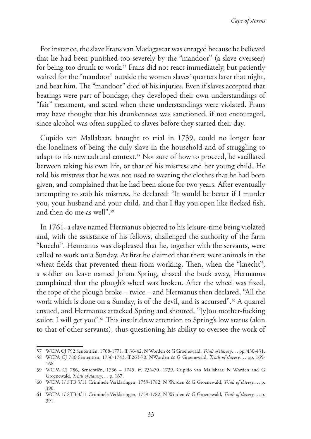*Cape of storms*

For instance, the slave Frans van Madagascar was enraged because he believed that he had been punished too severely by the "mandoor" (a slave overseer) for being too drunk to work.<sup>57</sup> Frans did not react immediately, but patiently waited for the "mandoor" outside the women slaves' quarters later that night, and beat him. The "mandoor" died of his injuries. Even if slaves accepted that beatings were part of bondage, they developed their own understandings of "fair" treatment, and acted when these understandings were violated. Frans may have thought that his drunkenness was sanctioned, if not encouraged, since alcohol was often supplied to slaves before they started their day.

Cupido van Mallabaar, brought to trial in 1739, could no longer bear the loneliness of being the only slave in the household and of struggling to adapt to his new cultural context.<sup>58</sup> Not sure of how to proceed, he vacillated between taking his own life, or that of his mistress and her young child. He told his mistress that he was not used to wearing the clothes that he had been given, and complained that he had been alone for two years. After eventually attempting to stab his mistress, he declared: "It would be better if I murder you, your husband and your child, and that I flay you open like flecked fish, and then do me as well".<sup>59</sup>

In 1761, a slave named Hermanus objected to his leisure-time being violated and, with the assistance of his fellows, challenged the authority of the farm "knecht". Hermanus was displeased that he, together with the servants, were called to work on a Sunday. At first he claimed that there were animals in the wheat fields that prevented them from working. Then, when the "knecht", a soldier on leave named Johan Spring, chased the buck away, Hermanus complained that the plough's wheel was broken. After the wheel was fixed, the rope of the plough broke – twice – and Hermanus then declared, "All the work which is done on a Sunday, is of the devil, and is accursed".<sup>60</sup> A quarrel ensued, and Hermanus attacked Spring and shouted, "[y]ou mother-fucking sailor, I will get you".<sup>61</sup> This insult drew attention to Spring's low status (akin to that of other servants), thus questioning his ability to oversee the work of

<sup>57</sup> WCPA CJ 792 Sententiën, 1768-1771, ff. 36-42, N Worden & G Groenewald, *Trials of slavery…*, pp. 430-431.

<sup>58</sup> WCPA CJ 786 Sententiën, 1736-1743, ff.263-70, NWorden & G Groenewald, *Trials of slavery…*, pp. 165- 168.

<sup>59</sup> WCPA CJ 786, Sententiën, 1736 – 1745, ff. 236-70, 1739, Cupido van Mallabaar, N Worden and G Groenewald, *Trials of slavery…*, p. 167.

<sup>60</sup> WCPA 1/ STB 3/11 Criminele Verklaringen, 1759-1782, N Worden & G Groenewald, *Trials of slavery…*, p. 390.

<sup>61</sup> WCPA 1/ STB 3/11 Criminele Verklaringen, 1759-1782, N Worden & G Groenewald, *Trials of slavery…*, p. 391.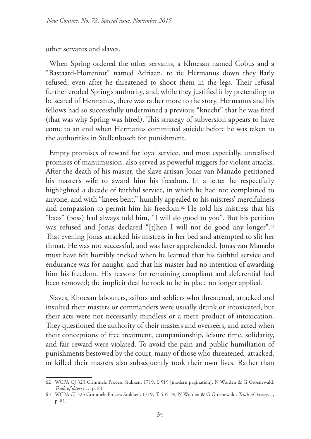other servants and slaves.

When Spring ordered the other servants, a Khoesan named Cobus and a "Bastaard-Hottentot" named Adriaan, to tie Hermanus down they flatly refused, even after he threatened to shoot them in the legs. Their refusal further eroded Spring's authority, and, while they justified it by pretending to be scared of Hermanus, there was rather more to the story. Hermanus and his fellows had so successfully undermined a previous "knecht" that he was fired (that was why Spring was hired). This strategy of subversion appears to have come to an end when Hermanus committed suicide before he was taken to the authorities in Stellenbosch for punishment.

Empty promises of reward for loyal service, and most especially, unrealised promises of manumission, also served as powerful triggers for violent attacks. After the death of his master, the slave artisan Jonas van Manado petitioned his master's wife to award him his freedom. In a letter he respectfully highlighted a decade of faithful service, in which he had not complained to anyone, and with "knees bent," humbly appealed to his mistress' mercifulness and compassion to permit him his freedom.<sup>62</sup> He told his mistress that his "baas" (boss) had always told him, "I will do good to you". But his petition was refused and Jonas declared "[t]hen I will not do good any longer".<sup>63</sup> That evening Jonas attacked his mistress in her bed and attempted to slit her throat. He was not successful, and was later apprehended. Jonas van Manado must have felt horribly tricked when he learned that his faithful service and endurance was for naught, and that his master had no intention of awarding him his freedom. His reasons for remaining compliant and deferential had been removed; the implicit deal he took to be in place no longer applied.

Slaves, Khoesan labourers, sailors and soldiers who threatened, attacked and insulted their masters or commanders were usually drunk or intoxicated, but their acts were not necessarily mindless or a mere product of intoxication. They questioned the authority of their masters and overseers, and acted when their conceptions of free treatment, companionship, leisure time, solidarity, and fair reward were violated. To avoid the pain and public humiliation of punishments bestowed by the court, many of those who threatened, attacked, or killed their masters also subsequently took their own lives. Rather than

<sup>62</sup> WCPA CJ 323 Criminele Process Stukken, 1719, f. 519 [modern pagination], N Worden & G Groenewald, *Trials of slavery…*, p. 83,

<sup>63</sup> WCPA CJ 323 Criminele Process Stukken, 1719, ff. 535-39, N Worden & G Groenewald, *Trials of slavery…*, p. 81.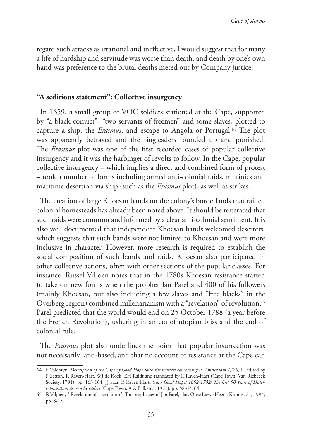regard such attacks as irrational and ineffective, I would suggest that for many a life of hardship and servitude was worse than death, and death by one's own hand was preference to the brutal deaths meted out by Company justice.

# **"A seditious statement": Collective insurgency**

In 1659, a small group of VOC soldiers stationed at the Cape, supported by "a black convict", "two servants of freemen" and some slaves, plotted to capture a ship, the *Erasmus*, and escape to Angola or Portugal.64 The plot was apparently betrayed and the ringleaders rounded up and punished. The *Erasmus* plot was one of the first recorded cases of popular collective insurgency and it was the harbinger of revolts to follow. In the Cape, popular collective insurgency – which implies a direct and combined form of protest – took a number of forms including armed anti-colonial raids, mutinies and maritime desertion via ship (such as the *Erasmus* plot), as well as strikes.

The creation of large Khoesan bands on the colony's borderlands that raided colonial homesteads has already been noted above. It should be reiterated that such raids were common and informed by a clear anti-colonial sentiment. It is also well documented that independent Khoesan bands welcomed deserters, which suggests that such bands were not limited to Khoesan and were more inclusive in character. However, more research is required to establish the social composition of such bands and raids. Khoesan also participated in other collective actions, often with other sections of the popular classes. For instance, Russel Viljoen notes that in the 1780s Khoesan resistance started to take on new forms when the prophet Jan Parel and 400 of his followers (mainly Khoesan, but also including a few slaves and "free blacks" in the Overberg region) combined millenarianism with a "revelation" of revolution.<sup>65</sup> Parel predicted that the world would end on 25 October 1788 (a year before the French Revolution), ushering in an era of utopian bliss and the end of colonial rule.

The *Erasmus* plot also underlines the point that popular insurrection was not necessarily land-based, and that no account of resistance at the Cape can

<sup>64</sup> F Valentyn, *Description of the Cape of Good Hope with the matters concerning it, Amsterdam 1726*, II, edited by P Setton, R Raven-Hart, WJ de Kock, EH Raidt and translated by R Raven-Hart (Cape Town, Van Riebeeck Society, 1791), pp. 163-164; JJ Saar, R Raven-Hart, *Cape Good Hope/ 1652-1702/ The first 50 Years of Dutch colonisation as seen by callers* (Cape Town, A A Balkema, 1971), pp. 58-67, 64.

<sup>65</sup> R Viljoen, "'Revelation of a revolution': The prophecies of Jan Parel, alias Onse Liewe Heer", Kronos, 21, 1994, pp. 3-15.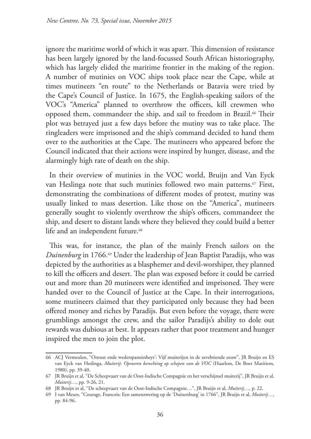ignore the maritime world of which it was apart. This dimension of resistance has been largely ignored by the land-focussed South African historiography, which has largely elided the maritime frontier in the making of the region. A number of mutinies on VOC ships took place near the Cape, while at times mutineers "en route" to the Netherlands or Batavia were tried by the Cape's Council of Justice. In 1675, the English-speaking sailors of the VOC's "America" planned to overthrow the officers, kill crewmen who opposed them, commandeer the ship, and sail to freedom in Brazil.<sup>66</sup> Their plot was betrayed just a few days before the mutiny was to take place. The ringleaders were imprisoned and the ship's command decided to hand them over to the authorities at the Cape. The mutineers who appeared before the Council indicated that their actions were inspired by hunger, disease, and the alarmingly high rate of death on the ship.

In their overview of mutinies in the VOC world, Bruijn and Van Eyck van Heslinga note that such mutinies followed two main patterns.<sup>67</sup> First, demonstrating the combinations of different modes of protest, mutiny was usually linked to mass desertion. Like those on the "America", mutineers generally sought to violently overthrow the ship's officers, commandeer the ship, and desert to distant lands where they believed they could build a better life and an independent future.<sup>68</sup>

This was, for instance, the plan of the mainly French sailors on the *Duinenburg* in 1766.69 Under the leadership of Jean Baptist Paradijs, who was depicted by the authorities as a blasphemer and devil-worshiper, they planned to kill the officers and desert. The plan was exposed before it could be carried out and more than 20 mutineers were identified and imprisoned. They were handed over to the Council of Justice at the Cape. In their interrogations, some mutineers claimed that they participated only because they had been offered money and riches by Paradijs. But even before the voyage, there were grumblings amongst the crew, and the sailor Paradijs's ability to dole out rewards was dubious at best. It appears rather that poor treatment and hunger inspired the men to join the plot.

<sup>66</sup> ACJ Vermeulen, "Onrust ende wederspanninheyt': Vijf muiterijen in de zevebtiende eeuw", JR Bruijn en ES van Eyck van Heslinga, *Muiterij: Oproeren berechting op schepen van de VOC* (Haarlem, De Boer Maritiem, 1980), pp. 39-40.

<sup>67</sup> JR Bruijn et al, "De Scheepvaart van de Oost-Indische Compagnie en het verschijnsel muiterij", JR Bruijn et al, *Muiterij*…, pp. 9-26, 21.

<sup>68</sup> JR Bruijn et al, "De scheepvaart van de Oost-Indische Compagnie…", JR Bruijn et al*, Muiterij…,* p. 22.

<sup>69</sup> I van Meurs, "Courage, Francois: Een samenzwering op de 'Duinenburg' in 1766", JR Bruijn et al, *Muiterij…*, pp. 84-96.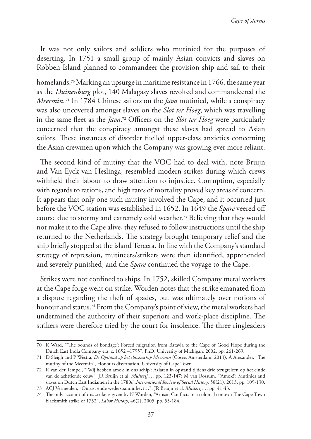It was not only sailors and soldiers who mutinied for the purposes of deserting. In 1751 a small group of mainly Asian convicts and slaves on Robben Island planned to commandeer the provision ship and sail to their

homelands.<sup>70</sup> Marking an upsurge in maritime resistance in 1766, the same year as the *Duinenburg* plot, 140 Malagasy slaves revolted and commandeered the *Meermin*. 71 In 1784 Chinese sailors on the *Java* mutinied, while a conspiracy was also uncovered amongst slaves on the *Slot ter Hoeg*, which was travelling in the same fleet as the *Java*. 72 Officers on the *Slot ter Hoeg* were particularly concerned that the conspiracy amongst these slaves had spread to Asian sailors. These instances of disorder fuelled upper-class anxieties concerning the Asian crewmen upon which the Company was growing ever more reliant.

The second kind of mutiny that the VOC had to deal with, note Bruijn and Van Eyck van Heslinga, resembled modern strikes during which crews withheld their labour to draw attention to injustice. Corruption, especially with regards to rations, and high rates of mortality proved key areas of concern. It appears that only one such mutiny involved the Cape, and it occurred just before the VOC station was established in 1652. In 1649 the *Spare* veered off course due to stormy and extremely cold weather.73 Believing that they would not make it to the Cape alive, they refused to follow instructions until the ship returned to the Netherlands. The strategy brought temporary relief and the ship briefly stopped at the island Tercera. In line with the Company's standard strategy of repression, mutineers/strikers were then identified, apprehended and severely punished, and the *Spare* continued the voyage to the Cape.

Strikes were not confined to ships. In 1752, skilled Company metal workers at the Cape forge went on strike. Worden notes that the strike emanated from a dispute regarding the theft of spades, but was ultimately over notions of honour and status.74 From the Company's point of view, the metal workers had undermined the authority of their superiors and work-place discipline. The strikers were therefore tried by the court for insolence. The three ringleaders

<sup>70</sup> K Ward, "'The bounds of bondage': Forced migration from Batavia to the Cape of Good Hope during the Dutch East India Company era, c. 1652 –1795", PhD, University of Michigan, 2002, pp. 261-269.

<sup>71</sup> D Sleigh and P Westra, *De Opstand op het slavenschip Meermin* (Cosee, Amsterdam, 2013); A Alexander, "The mutiny of the Meermin", Honours dissertation, University of Cape Town.

<sup>72</sup> K van der Tempel, "'Wij hebben amok in ons schip': Aziaten in opstand tijdens drie terugreizen op het einde van de achttiende eeuw", JR Bruijn et al*, Muiterij…,* pp. 123-147; M van Rossum, "'Amok!': Mutinies and slaves on Dutch East Indiamen in the 1780s",*International Review of Social History*, 58(21), 2013, pp. 109-130.

<sup>73</sup> ACJ Vermeulen, "Onrust ende wederspanninheyt…", JR Bruijn et al*, Muiterij…,* pp. 41-43.

<sup>74</sup> The only account of this strike is given by N Worden, "Artisan Conflicts in a colonial context: The Cape Town blacksmith strike of 1752", *Labor History*, 46(2), 2005, pp. 55-184.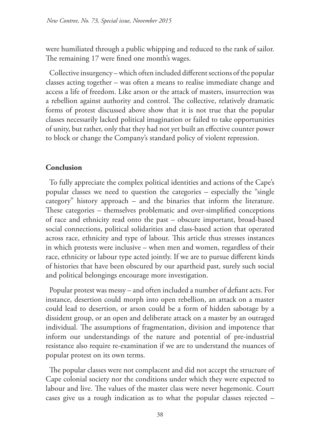were humiliated through a public whipping and reduced to the rank of sailor. The remaining 17 were fined one month's wages.

Collective insurgency – which often included different sections of the popular classes acting together – was often a means to realise immediate change and access a life of freedom. Like arson or the attack of masters, insurrection was a rebellion against authority and control. The collective, relatively dramatic forms of protest discussed above show that it is not true that the popular classes necessarily lacked political imagination or failed to take opportunities of unity, but rather, only that they had not yet built an effective counter power to block or change the Company's standard policy of violent repression.

# **Conclusion**

To fully appreciate the complex political identities and actions of the Cape's popular classes we need to question the categories – especially the "single category" history approach – and the binaries that inform the literature. These categories – themselves problematic and over-simplified conceptions of race and ethnicity read onto the past – obscure important, broad-based social connections, political solidarities and class-based action that operated across race, ethnicity and type of labour. This article thus stresses instances in which protests were inclusive – when men and women, regardless of their race, ethnicity or labour type acted jointly. If we are to pursue different kinds of histories that have been obscured by our apartheid past, surely such social and political belongings encourage more investigation.

Popular protest was messy – and often included a number of defiant acts. For instance, desertion could morph into open rebellion, an attack on a master could lead to desertion, or arson could be a form of hidden sabotage by a dissident group, or an open and deliberate attack on a master by an outraged individual. The assumptions of fragmentation, division and impotence that inform our understandings of the nature and potential of pre-industrial resistance also require re-examination if we are to understand the nuances of popular protest on its own terms.

The popular classes were not complacent and did not accept the structure of Cape colonial society nor the conditions under which they were expected to labour and live. The values of the master class were never hegemonic. Court cases give us a rough indication as to what the popular classes rejected –